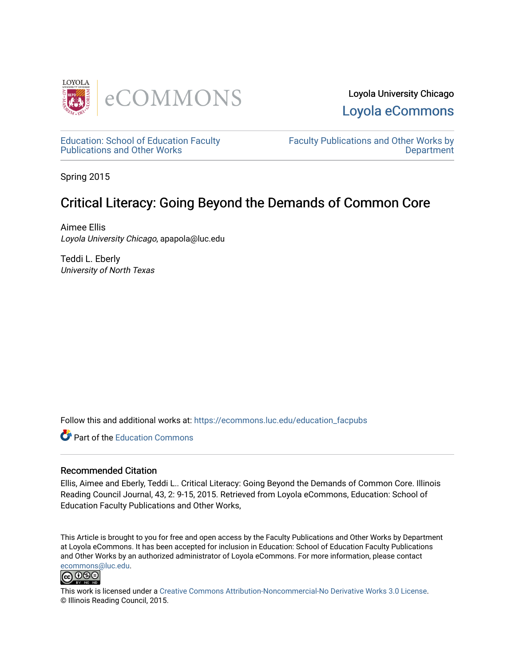



[Education: School of Education Faculty](https://ecommons.luc.edu/education_facpubs)  [Publications and Other Works](https://ecommons.luc.edu/education_facpubs) 

[Faculty Publications and Other Works by](https://ecommons.luc.edu/faculty)  **Department** 

Spring 2015

## Critical Literacy: Going Beyond the Demands of Common Core

Aimee Ellis Loyola University Chicago, apapola@luc.edu

Teddi L. Eberly University of North Texas

Follow this and additional works at: [https://ecommons.luc.edu/education\\_facpubs](https://ecommons.luc.edu/education_facpubs?utm_source=ecommons.luc.edu%2Feducation_facpubs%2F69&utm_medium=PDF&utm_campaign=PDFCoverPages) 

**C** Part of the [Education Commons](http://network.bepress.com/hgg/discipline/784?utm_source=ecommons.luc.edu%2Feducation_facpubs%2F69&utm_medium=PDF&utm_campaign=PDFCoverPages)

#### Recommended Citation

Ellis, Aimee and Eberly, Teddi L.. Critical Literacy: Going Beyond the Demands of Common Core. Illinois Reading Council Journal, 43, 2: 9-15, 2015. Retrieved from Loyola eCommons, Education: School of Education Faculty Publications and Other Works,

This Article is brought to you for free and open access by the Faculty Publications and Other Works by Department at Loyola eCommons. It has been accepted for inclusion in Education: School of Education Faculty Publications and Other Works by an authorized administrator of Loyola eCommons. For more information, please contact [ecommons@luc.edu](mailto:ecommons@luc.edu).



This work is licensed under a [Creative Commons Attribution-Noncommercial-No Derivative Works 3.0 License.](https://creativecommons.org/licenses/by-nc-nd/3.0/) © Illinois Reading Council, 2015.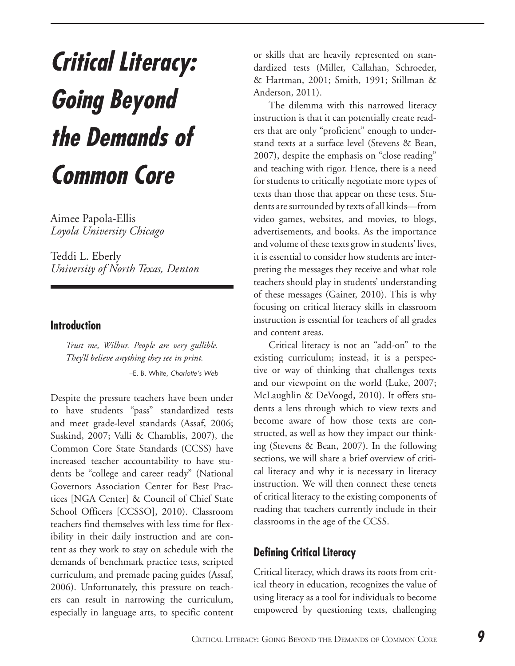# **Critical Literacy: Going Beyond the Demands of Common Core**

Aimee Papola-Ellis *Loyola University Chicago*

Teddi L. Eberly *University of North Texas, Denton*

#### **Introduction**

*Trust me, Wilbur. People are very gullible. They'll believe anything they see in print.*

–E. B. White, *Charlotte's Web*

Despite the pressure teachers have been under to have students "pass" standardized tests and meet grade-level standards (Assaf, 2006; Suskind, 2007; Valli & Chamblis, 2007), the Common Core State Standards (CCSS) have increased teacher accountability to have students be "college and career ready" (National Governors Association Center for Best Practices [NGA Center] & Council of Chief State School Officers [CCSSO], 2010). Classroom teachers find themselves with less time for flexibility in their daily instruction and are content as they work to stay on schedule with the demands of benchmark practice tests, scripted curriculum, and premade pacing guides (Assaf, 2006). Unfortunately, this pressure on teachers can result in narrowing the curriculum, especially in language arts, to specific content

or skills that are heavily represented on standardized tests (Miller, Callahan, Schroeder, & Hartman, 2001; Smith, 1991; Stillman & Anderson, 2011).

The dilemma with this narrowed literacy instruction is that it can potentially create readers that are only "proficient" enough to understand texts at a surface level (Stevens & Bean, 2007), despite the emphasis on "close reading" and teaching with rigor. Hence, there is a need for students to critically negotiate more types of texts than those that appear on these tests. Students are surrounded by texts of all kinds—from video games, websites, and movies, to blogs, advertisements, and books. As the importance and volume of these texts grow in students' lives, it is essential to consider how students are interpreting the messages they receive and what role teachers should play in students' understanding of these messages (Gainer, 2010). This is why focusing on critical literacy skills in classroom instruction is essential for teachers of all grades and content areas.

Critical literacy is not an "add-on" to the existing curriculum; instead, it is a perspective or way of thinking that challenges texts and our viewpoint on the world (Luke, 2007; McLaughlin & DeVoogd, 2010). It offers students a lens through which to view texts and become aware of how those texts are constructed, as well as how they impact our thinking (Stevens & Bean, 2007). In the following sections, we will share a brief overview of critical literacy and why it is necessary in literacy instruction. We will then connect these tenets of critical literacy to the existing components of reading that teachers currently include in their classrooms in the age of the CCSS.

#### **Defining Critical Literacy**

Critical literacy, which draws its roots from critical theory in education, recognizes the value of using literacy as a tool for individuals to become empowered by questioning texts, challenging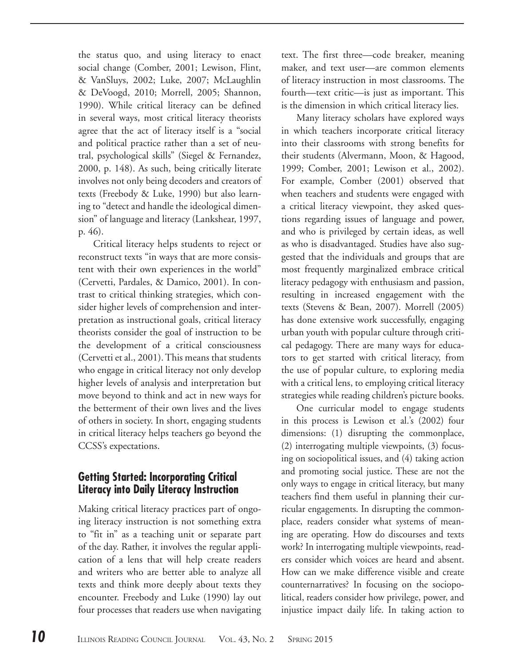the status quo, and using literacy to enact social change (Comber, 2001; Lewison, Flint, & VanSluys, 2002; Luke, 2007; McLaughlin & DeVoogd, 2010; Morrell, 2005; Shannon, 1990). While critical literacy can be defined in several ways, most critical literacy theorists agree that the act of literacy itself is a "social and political practice rather than a set of neutral, psychological skills" (Siegel & Fernandez, 2000, p. 148). As such, being critically literate involves not only being decoders and creators of texts (Freebody & Luke, 1990) but also learning to "detect and handle the ideological dimension" of language and literacy (Lankshear, 1997, p. 46).

Critical literacy helps students to reject or reconstruct texts "in ways that are more consistent with their own experiences in the world" (Cervetti, Pardales, & Damico, 2001). In contrast to critical thinking strategies, which consider higher levels of comprehension and interpretation as instructional goals, critical literacy theorists consider the goal of instruction to be the development of a critical consciousness (Cervetti et al., 2001). This means that students who engage in critical literacy not only develop higher levels of analysis and interpretation but move beyond to think and act in new ways for the betterment of their own lives and the lives of others in society. In short, engaging students in critical literacy helps teachers go beyond the CCSS's expectations.

#### **Getting Started: Incorporating Critical Literacy into Daily Literacy Instruction**

Making critical literacy practices part of ongoing literacy instruction is not something extra to "fit in" as a teaching unit or separate part of the day. Rather, it involves the regular application of a lens that will help create readers and writers who are better able to analyze all texts and think more deeply about texts they encounter. Freebody and Luke (1990) lay out four processes that readers use when navigating text. The first three—code breaker, meaning maker, and text user—are common elements of literacy instruction in most classrooms. The fourth—text critic—is just as important. This is the dimension in which critical literacy lies.

Many literacy scholars have explored ways in which teachers incorporate critical literacy into their classrooms with strong benefits for their students (Alvermann, Moon, & Hagood, 1999; Comber, 2001; Lewison et al., 2002). For example, Comber (2001) observed that when teachers and students were engaged with a critical literacy viewpoint, they asked questions regarding issues of language and power, and who is privileged by certain ideas, as well as who is disadvantaged. Studies have also suggested that the individuals and groups that are most frequently marginalized embrace critical literacy pedagogy with enthusiasm and passion, resulting in increased engagement with the texts (Stevens & Bean, 2007). Morrell (2005) has done extensive work successfully, engaging urban youth with popular culture through critical pedagogy. There are many ways for educators to get started with critical literacy, from the use of popular culture, to exploring media with a critical lens, to employing critical literacy strategies while reading children's picture books.

One curricular model to engage students in this process is Lewison et al.'s (2002) four dimensions: (1) disrupting the commonplace, (2) interrogating multiple viewpoints, (3) focusing on sociopolitical issues, and (4) taking action and promoting social justice. These are not the only ways to engage in critical literacy, but many teachers find them useful in planning their curricular engagements. In disrupting the commonplace, readers consider what systems of meaning are operating. How do discourses and texts work? In interrogating multiple viewpoints, readers consider which voices are heard and absent. How can we make difference visible and create counternarratives? In focusing on the sociopolitical, readers consider how privilege, power, and injustice impact daily life. In taking action to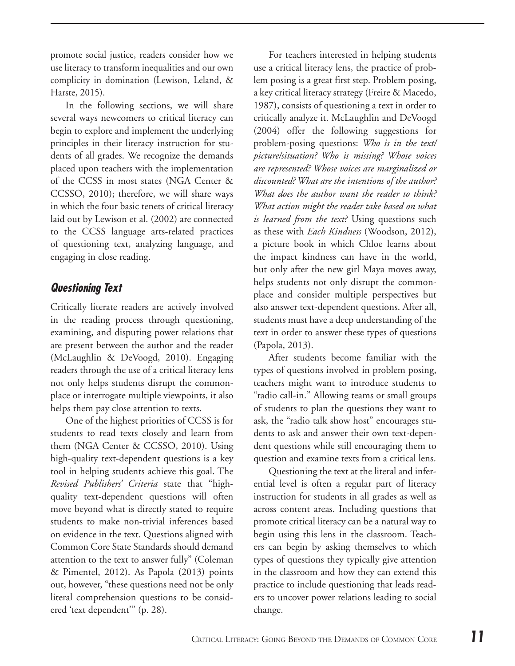promote social justice, readers consider how we use literacy to transform inequalities and our own complicity in domination (Lewison, Leland, & Harste, 2015).

In the following sections, we will share several ways newcomers to critical literacy can begin to explore and implement the underlying principles in their literacy instruction for students of all grades. We recognize the demands placed upon teachers with the implementation of the CCSS in most states (NGA Center & CCSSO, 2010); therefore, we will share ways in which the four basic tenets of critical literacy laid out by Lewison et al. (2002) are connected to the CCSS language arts-related practices of questioning text, analyzing language, and engaging in close reading.

#### **Questioning Text**

Critically literate readers are actively involved in the reading process through questioning, examining, and disputing power relations that are present between the author and the reader (McLaughlin & DeVoogd, 2010). Engaging readers through the use of a critical literacy lens not only helps students disrupt the commonplace or interrogate multiple viewpoints, it also helps them pay close attention to texts.

One of the highest priorities of CCSS is for students to read texts closely and learn from them (NGA Center & CCSSO, 2010). Using high-quality text-dependent questions is a key tool in helping students achieve this goal. The *Revised Publishers' Criteria* state that "highquality text-dependent questions will often move beyond what is directly stated to require students to make non-trivial inferences based on evidence in the text. Questions aligned with Common Core State Standards should demand attention to the text to answer fully" (Coleman & Pimentel, 2012). As Papola (2013) points out, however, "these questions need not be only literal comprehension questions to be considered 'text dependent'" (p. 28).

For teachers interested in helping students use a critical literacy lens, the practice of problem posing is a great first step. Problem posing, a key critical literacy strategy (Freire & Macedo, 1987), consists of questioning a text in order to critically analyze it. McLaughlin and DeVoogd (2004) offer the following suggestions for problem-posing questions: *Who is in the text/ picture/situation? Who is missing? Whose voices are represented? Whose voices are marginalized or discounted? What are the intentions of the author? What does the author want the reader to think? What action might the reader take based on what is learned from the text?* Using questions such as these with *Each Kindness* (Woodson, 2012), a picture book in which Chloe learns about the impact kindness can have in the world, but only after the new girl Maya moves away, helps students not only disrupt the commonplace and consider multiple perspectives but also answer text-dependent questions. After all, students must have a deep understanding of the text in order to answer these types of questions (Papola, 2013).

After students become familiar with the types of questions involved in problem posing, teachers might want to introduce students to "radio call-in." Allowing teams or small groups of students to plan the questions they want to ask, the "radio talk show host" encourages students to ask and answer their own text-dependent questions while still encouraging them to question and examine texts from a critical lens.

Questioning the text at the literal and inferential level is often a regular part of literacy instruction for students in all grades as well as across content areas. Including questions that promote critical literacy can be a natural way to begin using this lens in the classroom. Teachers can begin by asking themselves to which types of questions they typically give attention in the classroom and how they can extend this practice to include questioning that leads readers to uncover power relations leading to social change.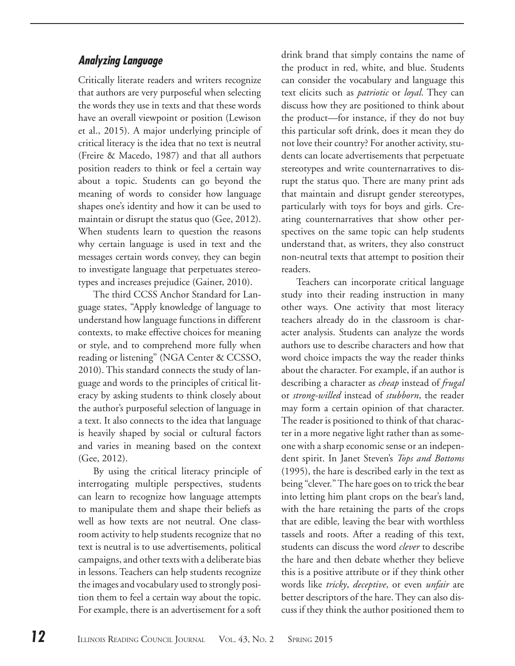#### **Analyzing Language**

Critically literate readers and writers recognize that authors are very purposeful when selecting the words they use in texts and that these words have an overall viewpoint or position (Lewison et al., 2015). A major underlying principle of critical literacy is the idea that no text is neutral (Freire & Macedo, 1987) and that all authors position readers to think or feel a certain way about a topic. Students can go beyond the meaning of words to consider how language shapes one's identity and how it can be used to maintain or disrupt the status quo (Gee, 2012). When students learn to question the reasons why certain language is used in text and the messages certain words convey, they can begin to investigate language that perpetuates stereotypes and increases prejudice (Gainer, 2010).

The third CCSS Anchor Standard for Language states, "Apply knowledge of language to understand how language functions in different contexts, to make effective choices for meaning or style, and to comprehend more fully when reading or listening" (NGA Center & CCSSO, 2010). This standard connects the study of language and words to the principles of critical literacy by asking students to think closely about the author's purposeful selection of language in a text. It also connects to the idea that language is heavily shaped by social or cultural factors and varies in meaning based on the context (Gee, 2012).

By using the critical literacy principle of interrogating multiple perspectives, students can learn to recognize how language attempts to manipulate them and shape their beliefs as well as how texts are not neutral. One classroom activity to help students recognize that no text is neutral is to use advertisements, political campaigns, and other texts with a deliberate bias in lessons. Teachers can help students recognize the images and vocabulary used to strongly position them to feel a certain way about the topic. For example, there is an advertisement for a soft drink brand that simply contains the name of the product in red, white, and blue. Students can consider the vocabulary and language this text elicits such as *patriotic* or *loyal*. They can discuss how they are positioned to think about the product—for instance, if they do not buy this particular soft drink, does it mean they do not love their country? For another activity, students can locate advertisements that perpetuate stereotypes and write counternarratives to disrupt the status quo. There are many print ads that maintain and disrupt gender stereotypes, particularly with toys for boys and girls. Creating counternarratives that show other perspectives on the same topic can help students understand that, as writers, they also construct non-neutral texts that attempt to position their readers.

Teachers can incorporate critical language study into their reading instruction in many other ways. One activity that most literacy teachers already do in the classroom is character analysis. Students can analyze the words authors use to describe characters and how that word choice impacts the way the reader thinks about the character. For example, if an author is describing a character as *cheap* instead of *frugal* or *strong-willed* instead of *stubborn*, the reader may form a certain opinion of that character. The reader is positioned to think of that character in a more negative light rather than as someone with a sharp economic sense or an independent spirit. In Janet Steven's *Tops and Bottoms* (1995), the hare is described early in the text as being "clever." The hare goes on to trick the bear into letting him plant crops on the bear's land, with the hare retaining the parts of the crops that are edible, leaving the bear with worthless tassels and roots. After a reading of this text, students can discuss the word *clever* to describe the hare and then debate whether they believe this is a positive attribute or if they think other words like *tricky*, *deceptive*, or even *unfair* are better descriptors of the hare. They can also discuss if they think the author positioned them to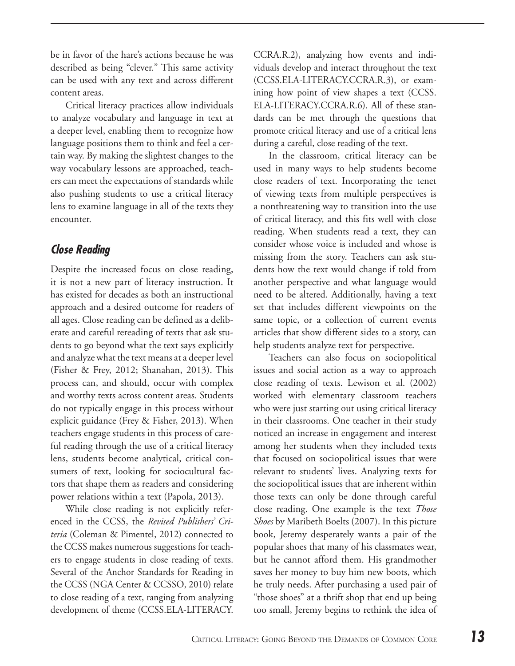be in favor of the hare's actions because he was described as being "clever." This same activity can be used with any text and across different content areas.

Critical literacy practices allow individuals to analyze vocabulary and language in text at a deeper level, enabling them to recognize how language positions them to think and feel a certain way. By making the slightest changes to the way vocabulary lessons are approached, teachers can meet the expectations of standards while also pushing students to use a critical literacy lens to examine language in all of the texts they encounter.

#### **Close Reading**

Despite the increased focus on close reading, it is not a new part of literacy instruction. It has existed for decades as both an instructional approach and a desired outcome for readers of all ages. Close reading can be defined as a deliberate and careful rereading of texts that ask students to go beyond what the text says explicitly and analyze what the text means at a deeper level (Fisher & Frey, 2012; Shanahan, 2013). This process can, and should, occur with complex and worthy texts across content areas. Students do not typically engage in this process without explicit guidance (Frey & Fisher, 2013). When teachers engage students in this process of careful reading through the use of a critical literacy lens, students become analytical, critical consumers of text, looking for sociocultural factors that shape them as readers and considering power relations within a text (Papola, 2013).

While close reading is not explicitly referenced in the CCSS, the *Revised Publishers' Criteria* (Coleman & Pimentel, 2012) connected to the CCSS makes numerous suggestions for teachers to engage students in close reading of texts. Several of the Anchor Standards for Reading in the CCSS (NGA Center & CCSSO, 2010) relate to close reading of a text, ranging from analyzing development of theme (CCSS.ELA-LITERACY.

CCRA.R.2), analyzing how events and individuals develop and interact throughout the text (CCSS.ELA-LITERACY.CCRA.R.3), or examining how point of view shapes a text (CCSS. ELA-LITERACY.CCRA.R.6). All of these standards can be met through the questions that promote critical literacy and use of a critical lens during a careful, close reading of the text.

In the classroom, critical literacy can be used in many ways to help students become close readers of text. Incorporating the tenet of viewing texts from multiple perspectives is a nonthreatening way to transition into the use of critical literacy, and this fits well with close reading. When students read a text, they can consider whose voice is included and whose is missing from the story. Teachers can ask students how the text would change if told from another perspective and what language would need to be altered. Additionally, having a text set that includes different viewpoints on the same topic, or a collection of current events articles that show different sides to a story, can help students analyze text for perspective.

Teachers can also focus on sociopolitical issues and social action as a way to approach close reading of texts. Lewison et al. (2002) worked with elementary classroom teachers who were just starting out using critical literacy in their classrooms. One teacher in their study noticed an increase in engagement and interest among her students when they included texts that focused on sociopolitical issues that were relevant to students' lives. Analyzing texts for the sociopolitical issues that are inherent within those texts can only be done through careful close reading. One example is the text *Those Shoes* by Maribeth Boelts (2007). In this picture book, Jeremy desperately wants a pair of the popular shoes that many of his classmates wear, but he cannot afford them. His grandmother saves her money to buy him new boots, which he truly needs. After purchasing a used pair of "those shoes" at a thrift shop that end up being too small, Jeremy begins to rethink the idea of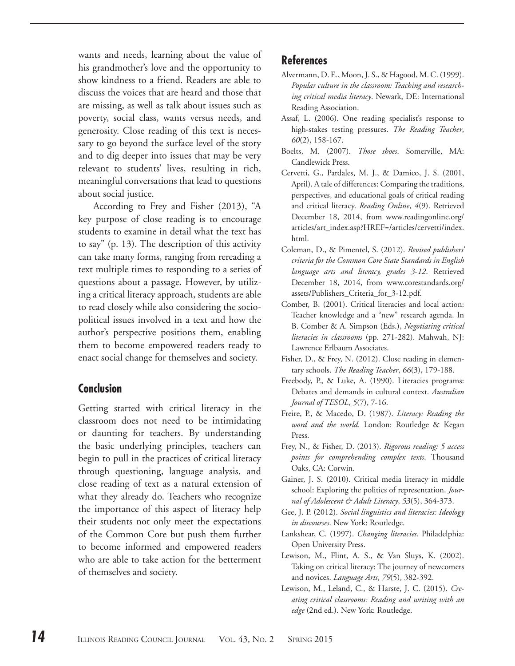wants and needs, learning about the value of his grandmother's love and the opportunity to show kindness to a friend. Readers are able to discuss the voices that are heard and those that are missing, as well as talk about issues such as poverty, social class, wants versus needs, and generosity. Close reading of this text is necessary to go beyond the surface level of the story and to dig deeper into issues that may be very relevant to students' lives, resulting in rich, meaningful conversations that lead to questions about social justice.

According to Frey and Fisher (2013), "A key purpose of close reading is to encourage students to examine in detail what the text has to say" (p. 13). The description of this activity can take many forms, ranging from rereading a text multiple times to responding to a series of questions about a passage. However, by utilizing a critical literacy approach, students are able to read closely while also considering the sociopolitical issues involved in a text and how the author's perspective positions them, enabling them to become empowered readers ready to enact social change for themselves and society.

#### **Conclusion**

Getting started with critical literacy in the classroom does not need to be intimidating or daunting for teachers. By understanding the basic underlying principles, teachers can begin to pull in the practices of critical literacy through questioning, language analysis, and close reading of text as a natural extension of what they already do. Teachers who recognize the importance of this aspect of literacy help their students not only meet the expectations of the Common Core but push them further to become informed and empowered readers who are able to take action for the betterment of themselves and society.

### **References**

- Alvermann, D. E., Moon, J. S., & Hagood, M. C. (1999). *Popular culture in the classroom: Teaching and researching critical media literacy*. Newark, DE: International Reading Association.
- Assaf, L. (2006). One reading specialist's response to high-stakes testing pressures. *The Reading Teacher*, *60*(2), 158-167.
- Boelts, M. (2007). *Those shoes*. Somerville, MA: Candlewick Press.
- Cervetti, G., Pardales, M. J., & Damico, J. S. (2001, April). A tale of differences: Comparing the traditions, perspectives, and educational goals of critical reading and critical literacy. *Reading Online*, *4*(9). Retrieved December 18, 2014, from www.readingonline.org/ articles/art\_index.asp?HREF=/articles/cervetti/index. html.
- Coleman, D., & Pimentel, S. (2012). *Revised publishers' criteria for the Common Core State Standards in English language arts and literacy, grades 3-12*. Retrieved December 18, 2014, from www.corestandards.org/ assets/Publishers\_Criteria\_for\_3-12.pdf.
- Comber, B. (2001). Critical literacies and local action: Teacher knowledge and a "new" research agenda. In B. Comber & A. Simpson (Eds.), *Negotiating critical literacies in classrooms* (pp. 271-282). Mahwah, NJ: Lawrence Erlbaum Associates.
- Fisher, D., & Frey, N. (2012). Close reading in elementary schools. *The Reading Teacher*, *66*(3), 179-188.
- Freebody, P., & Luke, A. (1990). Literacies programs: Debates and demands in cultural context. *Australian Journal of TESOL*, *5*(7), 7-16.
- Freire, P., & Macedo, D. (1987). *Literacy: Reading the word and the world*. London: Routledge & Kegan Press.
- Frey, N., & Fisher, D. (2013). *Rigorous reading: 5 access points for comprehending complex texts*. Thousand Oaks, CA: Corwin.
- Gainer, J. S. (2010). Critical media literacy in middle school: Exploring the politics of representation. *Journal of Adolescent & Adult Literacy*, *53*(5), 364-373.
- Gee, J. P. (2012). *Social linguistics and literacies: Ideology in discourses*. New York: Routledge.
- Lankshear, C. (1997). *Changing literacies*. Philadelphia: Open University Press.
- Lewison, M., Flint, A. S., & Van Sluys, K. (2002). Taking on critical literacy: The journey of newcomers and novices. *Language Arts*, *79*(5), 382-392.
- Lewison, M., Leland, C., & Harste, J. C. (2015). *Creating critical classrooms: Reading and writing with an edge* (2nd ed.). New York: Routledge.